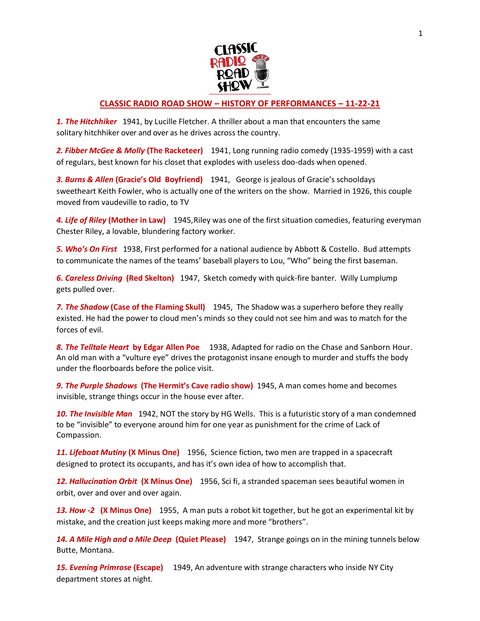

## **CLASSIC RADIO ROAD SHOW – HISTORY OF PERFORMANCES – 11-22-21**

*1. The Hitchhiker* 1941, by Lucille Fletcher. A thriller about a man that encounters the same solitary hitchhiker over and over as he drives across the country.

*2. Fibber McGee & Molly* **(The Racketeer)** 1941, Long running radio comedy (1935-1959) with a cast of regulars, best known for his closet that explodes with useless doo-dads when opened.

*3. Burns & Allen* **(Gracie's Old Boyfriend)** 1941, George is jealous of Gracie's schooldays sweetheart Keith Fowler, who is actually one of the writers on the show. Married in 1926, this couple moved from vaudeville to radio, to TV

*4. Life of Riley* **(Mother in Law)** 1945,Riley was one of the first situation comedies, featuring everyman Chester Riley, a lovable, blundering factory worker.

*5. Who's On First* 1938, First performed for a national audience by Abbott & Costello. Bud attempts to communicate the names of the teams' baseball players to Lou, "Who" being the first baseman.

*6. Careless Driving* **(Red Skelton)** 1947, Sketch comedy with quick-fire banter. Willy Lumplump gets pulled over.

*7. The Shadow* **(Case of the Flaming Skull)** 1945, The Shadow was a superhero before they really existed. He had the power to cloud men's minds so they could not see him and was to match for the forces of evil.

*8. The Telltale Heart* **by Edgar Allen Poe** 1938, Adapted for radio on the Chase and Sanborn Hour. An old man with a "vulture eye" drives the protagonist insane enough to murder and stuffs the body under the floorboards before the police visit.

*9. The Purple Shadows* **(The Hermit's Cave radio show)** 1945, A man comes home and becomes invisible, strange things occur in the house ever after.

*10. The Invisible Man* 1942, NOT the story by HG Wells. This is a futuristic story of a man condemned to be "invisible" to everyone around him for one year as punishment for the crime of Lack of Compassion.

*11. Lifeboat Mutiny* **(X Minus One)** 1956, Science fiction, two men are trapped in a spacecraft designed to protect its occupants, and has it's own idea of how to accomplish that.

*12. Hallucination Orbit* **(X Minus One)** 1956, Sci fi, a stranded spaceman sees beautiful women in orbit, over and over and over again.

*13. How -2* **(X Minus One)** 1955, A man puts a robot kit together, but he got an experimental kit by mistake, and the creation just keeps making more and more "brothers".

*14. A Mile High and a Mile Deep* **(Quiet Please)** 1947, Strange goings on in the mining tunnels below Butte, Montana.

*15. Evening Primrose* **(Escape)** 1949, An adventure with strange characters who inside NY City department stores at night.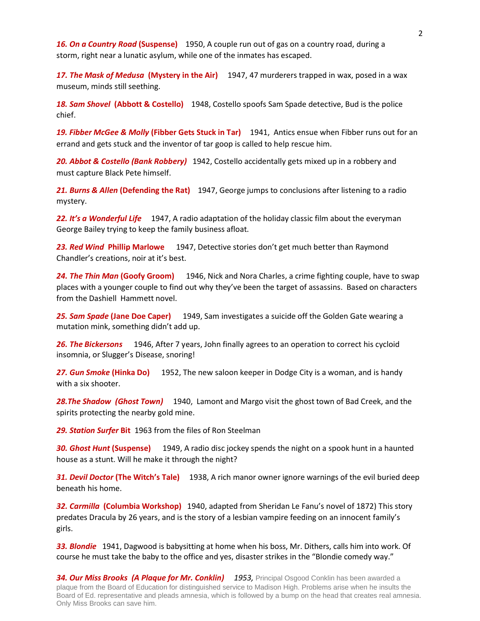*16. On a Country Road* **(Suspense)** 1950, A couple run out of gas on a country road, during a storm, right near a lunatic asylum, while one of the inmates has escaped.

*17. The Mask of Medusa* **(Mystery in the Air)** 1947, 47 murderers trapped in wax, posed in a wax museum, minds still seething.

*18. Sam Shovel* **(Abbott & Costello)** 1948, Costello spoofs Sam Spade detective, Bud is the police chief.

*19. Fibber McGee & Molly* **(Fibber Gets Stuck in Tar)** 1941, Antics ensue when Fibber runs out for an errand and gets stuck and the inventor of tar goop is called to help rescue him.

*20. Abbot & Costello (Bank Robbery)* 1942, Costello accidentally gets mixed up in a robbery and must capture Black Pete himself.

*21. Burns & Allen* **(Defending the Rat)** 1947, George jumps to conclusions after listening to a radio mystery.

*22. It's a Wonderful Life* 1947, A radio adaptation of the holiday classic film about the everyman George Bailey trying to keep the family business afloat.

*23. Red Wind* **Phillip Marlowe** 1947, Detective stories don't get much better than Raymond Chandler's creations, noir at it's best.

*24. The Thin Man* **(Goofy Groom)** 1946, Nick and Nora Charles, a crime fighting couple, have to swap places with a younger couple to find out why they've been the target of assassins. Based on characters from the Dashiell Hammett novel.

*25. Sam Spade* **(Jane Doe Caper)** 1949, Sam investigates a suicide off the Golden Gate wearing a mutation mink, something didn't add up.

*26. The Bickersons* 1946, After 7 years, John finally agrees to an operation to correct his cycloid insomnia, or Slugger's Disease, snoring!

*27. Gun Smoke* **(Hinka Do)** 1952, The new saloon keeper in Dodge City is a woman, and is handy with a six shooter.

*28.The Shadow (Ghost Town)* 1940, Lamont and Margo visit the ghost town of Bad Creek, and the spirits protecting the nearby gold mine.

*29. Station Surfer* **Bit** 1963 from the files of Ron Steelman

*30. Ghost Hunt* **(Suspense)** 1949, A radio disc jockey spends the night on a spook hunt in a haunted house as a stunt. Will he make it through the night?

*31. Devil Doctor* **(The Witch's Tale)** 1938, A rich manor owner ignore warnings of the evil buried deep beneath his home.

*32. Carmilla* **(Columbia Workshop)**1940, adapted from Sheridan Le Fanu's novel of 1872) This story predates Dracula by 26 years, and is the story of a lesbian vampire feeding on an innocent family's girls.

*33. Blondie* 1941, Dagwood is babysitting at home when his boss, Mr. Dithers, calls him into work. Of course he must take the baby to the office and yes, disaster strikes in the "Blondie comedy way."

*34. Our Miss Brooks (A Plaque for Mr. Conklin) 1953,* Principal Osgood Conklin has been awarded a plaque from the Board of Education for distinguished service to Madison High. Problems arise when he insults the Board of Ed. representative and pleads amnesia, which is followed by a bump on the head that creates real amnesia. Only Miss Brooks can save him.